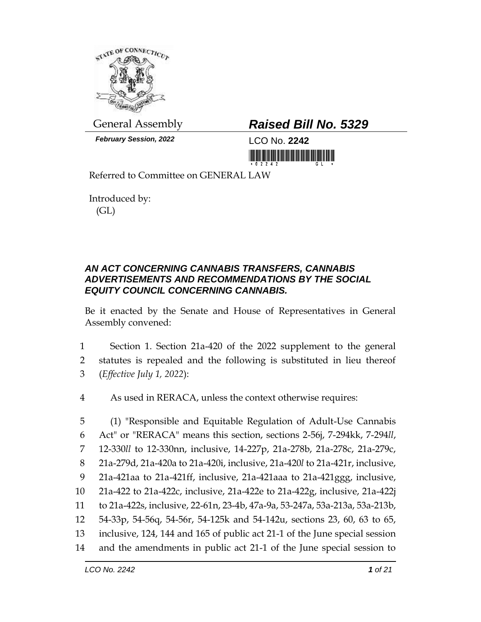

*February Session, 2022* LCO No. **2242**

## General Assembly *Raised Bill No. 5329*

<u> III MARIJINI MATERIAL IN MATERIAL IN MATERIAL IN M</u>

Referred to Committee on GENERAL LAW

Introduced by: (GL)

## *AN ACT CONCERNING CANNABIS TRANSFERS, CANNABIS ADVERTISEMENTS AND RECOMMENDATIONS BY THE SOCIAL EQUITY COUNCIL CONCERNING CANNABIS.*

Be it enacted by the Senate and House of Representatives in General Assembly convened:

- 1 Section 1. Section 21a-420 of the 2022 supplement to the general 2 statutes is repealed and the following is substituted in lieu thereof 3 (*Effective July 1, 2022*):
- 4 As used in RERACA, unless the context otherwise requires:

 (1) "Responsible and Equitable Regulation of Adult-Use Cannabis Act" or "RERACA" means this section, sections 2-56j, 7-294kk, 7-294*ll*, 12-330*ll* to 12-330nn, inclusive, 14-227p, 21a-278b, 21a-278c, 21a-279c, 21a-279d, 21a-420a to 21a-420i, inclusive, 21a-420*l* to 21a-421r, inclusive, 21a-421aa to 21a-421ff, inclusive, 21a-421aaa to 21a-421ggg, inclusive, 21a-422 to 21a-422c, inclusive, 21a-422e to 21a-422g, inclusive, 21a-422j to 21a-422s, inclusive, 22-61n, 23-4b, 47a-9a, 53-247a, 53a-213a, 53a-213b, 54-33p, 54-56q, 54-56r, 54-125k and 54-142u, sections 23, 60, 63 to 65, inclusive, 124, 144 and 165 of public act 21-1 of the June special session and the amendments in public act 21-1 of the June special session to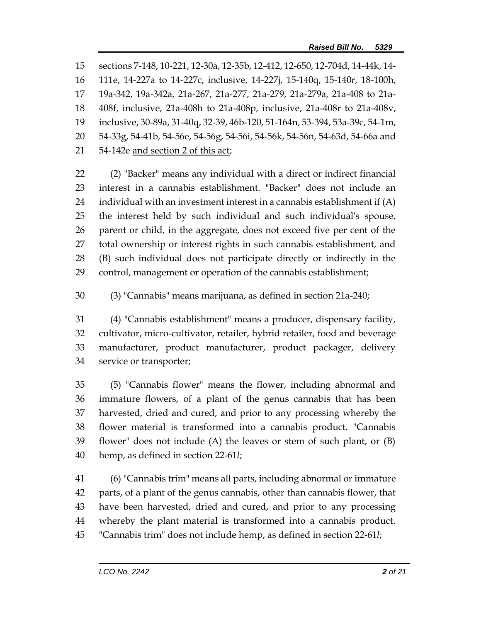sections 7-148, 10-221, 12-30a, 12-35b, 12-412, 12-650, 12-704d, 14-44k, 14- 111e, 14-227a to 14-227c, inclusive, 14-227j, 15-140q, 15-140r, 18-100h, 19a-342, 19a-342a, 21a-267, 21a-277, 21a-279, 21a-279a, 21a-408 to 21a- 408f, inclusive, 21a-408h to 21a-408p, inclusive, 21a-408r to 21a-408v, inclusive, 30-89a, 31-40q, 32-39, 46b-120, 51-164n, 53-394, 53a-39c, 54-1m, 54-33g, 54-41b, 54-56e, 54-56g, 54-56i, 54-56k, 54-56n, 54-63d, 54-66a and 54-142e and section 2 of this act;

 (2) "Backer" means any individual with a direct or indirect financial interest in a cannabis establishment. "Backer" does not include an 24 individual with an investment interest in a cannabis establishment if  $(A)$  the interest held by such individual and such individual's spouse, parent or child, in the aggregate, does not exceed five per cent of the total ownership or interest rights in such cannabis establishment, and (B) such individual does not participate directly or indirectly in the control, management or operation of the cannabis establishment;

(3) "Cannabis" means marijuana, as defined in section 21a-240;

 (4) "Cannabis establishment" means a producer, dispensary facility, cultivator, micro-cultivator, retailer, hybrid retailer, food and beverage manufacturer, product manufacturer, product packager, delivery service or transporter;

 (5) "Cannabis flower" means the flower, including abnormal and immature flowers, of a plant of the genus cannabis that has been harvested, dried and cured, and prior to any processing whereby the flower material is transformed into a cannabis product. "Cannabis flower" does not include (A) the leaves or stem of such plant, or (B) hemp, as defined in section 22-61*l*;

 (6) "Cannabis trim" means all parts, including abnormal or immature parts, of a plant of the genus cannabis, other than cannabis flower, that have been harvested, dried and cured, and prior to any processing whereby the plant material is transformed into a cannabis product. "Cannabis trim" does not include hemp, as defined in section 22-61*l*;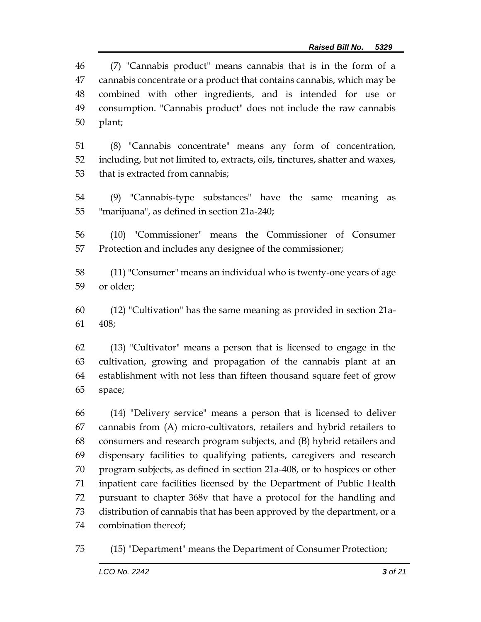(7) "Cannabis product" means cannabis that is in the form of a cannabis concentrate or a product that contains cannabis, which may be combined with other ingredients, and is intended for use or consumption. "Cannabis product" does not include the raw cannabis plant;

 (8) "Cannabis concentrate" means any form of concentration, including, but not limited to, extracts, oils, tinctures, shatter and waxes, that is extracted from cannabis;

 (9) "Cannabis-type substances" have the same meaning as "marijuana", as defined in section 21a-240;

 (10) "Commissioner" means the Commissioner of Consumer Protection and includes any designee of the commissioner;

 (11) "Consumer" means an individual who is twenty-one years of age or older;

 (12) "Cultivation" has the same meaning as provided in section 21a-408;

 (13) "Cultivator" means a person that is licensed to engage in the cultivation, growing and propagation of the cannabis plant at an establishment with not less than fifteen thousand square feet of grow space;

 (14) "Delivery service" means a person that is licensed to deliver cannabis from (A) micro-cultivators, retailers and hybrid retailers to consumers and research program subjects, and (B) hybrid retailers and dispensary facilities to qualifying patients, caregivers and research program subjects, as defined in section 21a-408, or to hospices or other inpatient care facilities licensed by the Department of Public Health pursuant to chapter 368v that have a protocol for the handling and distribution of cannabis that has been approved by the department, or a combination thereof;

(15) "Department" means the Department of Consumer Protection;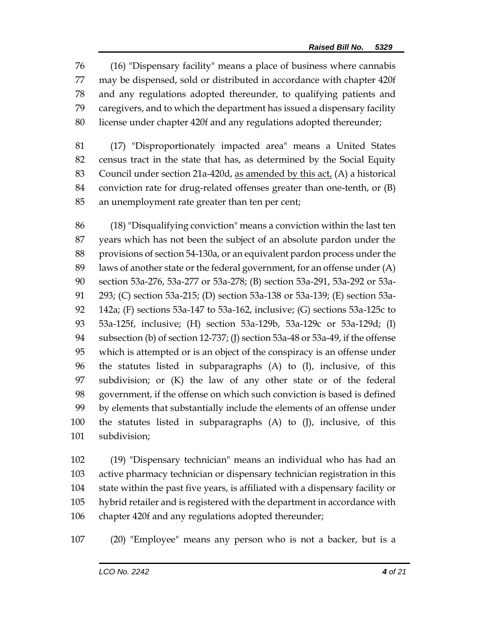(16) "Dispensary facility" means a place of business where cannabis may be dispensed, sold or distributed in accordance with chapter 420f and any regulations adopted thereunder, to qualifying patients and caregivers, and to which the department has issued a dispensary facility license under chapter 420f and any regulations adopted thereunder;

 (17) "Disproportionately impacted area" means a United States census tract in the state that has, as determined by the Social Equity 83 Council under section 21a-420d, as amended by this  $act<sub>L</sub>$  (A) a historical conviction rate for drug-related offenses greater than one-tenth, or (B) an unemployment rate greater than ten per cent;

 (18) "Disqualifying conviction" means a conviction within the last ten years which has not been the subject of an absolute pardon under the provisions of section 54-130a, or an equivalent pardon process under the laws of another state or the federal government, for an offense under (A) section 53a-276, 53a-277 or 53a-278; (B) section 53a-291, 53a-292 or 53a- 293; (C) section 53a-215; (D) section 53a-138 or 53a-139; (E) section 53a- 142a; (F) sections 53a-147 to 53a-162, inclusive; (G) sections 53a-125c to 53a-125f, inclusive; (H) section 53a-129b, 53a-129c or 53a-129d; (I) subsection (b) of section 12-737; (J) section 53a-48 or 53a-49, if the offense which is attempted or is an object of the conspiracy is an offense under the statutes listed in subparagraphs (A) to (I), inclusive, of this subdivision; or (K) the law of any other state or of the federal government, if the offense on which such conviction is based is defined by elements that substantially include the elements of an offense under the statutes listed in subparagraphs (A) to (J), inclusive, of this subdivision;

 (19) "Dispensary technician" means an individual who has had an active pharmacy technician or dispensary technician registration in this state within the past five years, is affiliated with a dispensary facility or hybrid retailer and is registered with the department in accordance with chapter 420f and any regulations adopted thereunder;

(20) "Employee" means any person who is not a backer, but is a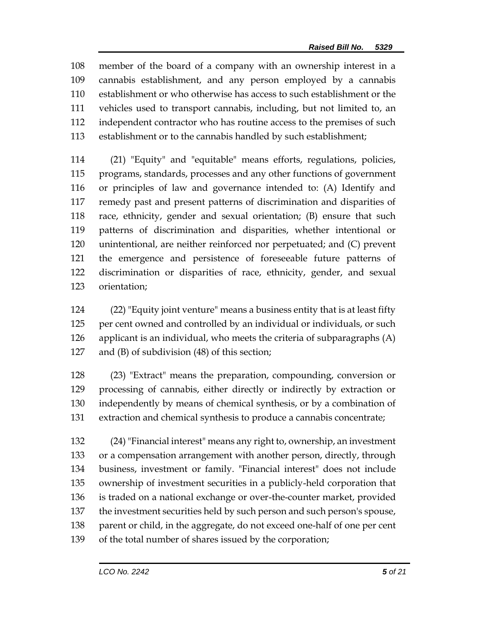member of the board of a company with an ownership interest in a cannabis establishment, and any person employed by a cannabis establishment or who otherwise has access to such establishment or the vehicles used to transport cannabis, including, but not limited to, an independent contractor who has routine access to the premises of such establishment or to the cannabis handled by such establishment;

 (21) "Equity" and "equitable" means efforts, regulations, policies, programs, standards, processes and any other functions of government or principles of law and governance intended to: (A) Identify and remedy past and present patterns of discrimination and disparities of race, ethnicity, gender and sexual orientation; (B) ensure that such patterns of discrimination and disparities, whether intentional or unintentional, are neither reinforced nor perpetuated; and (C) prevent the emergence and persistence of foreseeable future patterns of discrimination or disparities of race, ethnicity, gender, and sexual orientation;

 (22) "Equity joint venture" means a business entity that is at least fifty 125 per cent owned and controlled by an individual or individuals, or such applicant is an individual, who meets the criteria of subparagraphs (A) and (B) of subdivision (48) of this section;

 (23) "Extract" means the preparation, compounding, conversion or processing of cannabis, either directly or indirectly by extraction or independently by means of chemical synthesis, or by a combination of extraction and chemical synthesis to produce a cannabis concentrate;

 (24) "Financial interest" means any right to, ownership, an investment or a compensation arrangement with another person, directly, through business, investment or family. "Financial interest" does not include ownership of investment securities in a publicly-held corporation that is traded on a national exchange or over-the-counter market, provided the investment securities held by such person and such person's spouse, 138 parent or child, in the aggregate, do not exceed one-half of one per cent of the total number of shares issued by the corporation;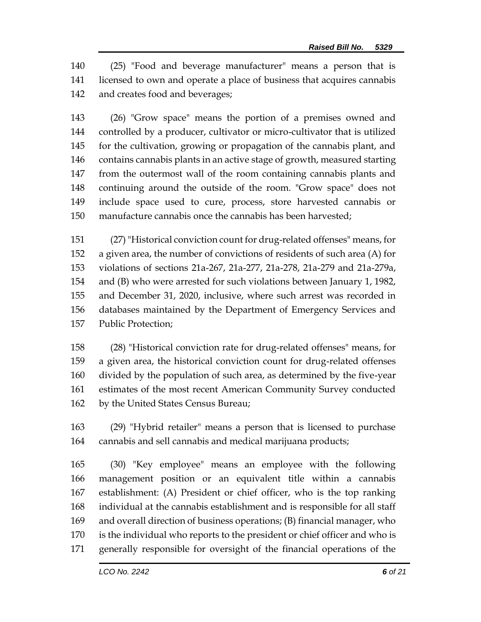(25) "Food and beverage manufacturer" means a person that is licensed to own and operate a place of business that acquires cannabis and creates food and beverages;

 (26) "Grow space" means the portion of a premises owned and controlled by a producer, cultivator or micro-cultivator that is utilized for the cultivation, growing or propagation of the cannabis plant, and contains cannabis plants in an active stage of growth, measured starting from the outermost wall of the room containing cannabis plants and continuing around the outside of the room. "Grow space" does not include space used to cure, process, store harvested cannabis or manufacture cannabis once the cannabis has been harvested;

 (27) "Historical conviction count for drug-related offenses" means, for a given area, the number of convictions of residents of such area (A) for violations of sections 21a-267, 21a-277, 21a-278, 21a-279 and 21a-279a, and (B) who were arrested for such violations between January 1, 1982, and December 31, 2020, inclusive, where such arrest was recorded in databases maintained by the Department of Emergency Services and Public Protection;

 (28) "Historical conviction rate for drug-related offenses" means, for a given area, the historical conviction count for drug-related offenses divided by the population of such area, as determined by the five-year estimates of the most recent American Community Survey conducted by the United States Census Bureau;

 (29) "Hybrid retailer" means a person that is licensed to purchase cannabis and sell cannabis and medical marijuana products;

 (30) "Key employee" means an employee with the following management position or an equivalent title within a cannabis establishment: (A) President or chief officer, who is the top ranking individual at the cannabis establishment and is responsible for all staff and overall direction of business operations; (B) financial manager, who is the individual who reports to the president or chief officer and who is generally responsible for oversight of the financial operations of the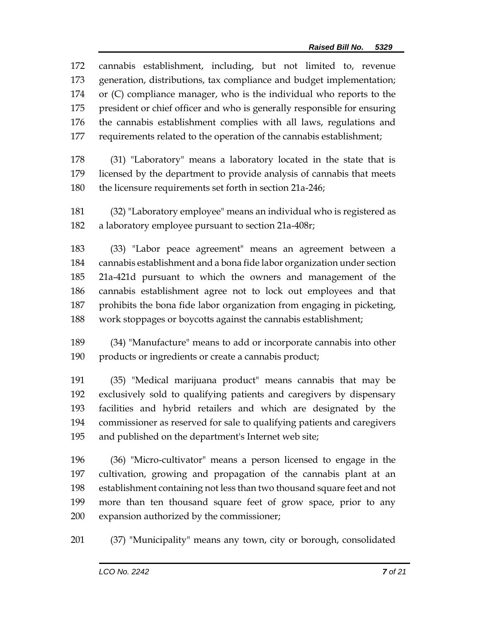|     | 172 cannabis establishment, including, but not limited to, revenue       |  |  |
|-----|--------------------------------------------------------------------------|--|--|
| 173 | generation, distributions, tax compliance and budget implementation;     |  |  |
|     | 174 or (C) compliance manager, who is the individual who reports to the  |  |  |
| 175 | president or chief officer and who is generally responsible for ensuring |  |  |
| 176 | the cannabis establishment complies with all laws, regulations and       |  |  |
| 177 | requirements related to the operation of the cannabis establishment;     |  |  |
|     |                                                                          |  |  |

- (31) "Laboratory" means a laboratory located in the state that is licensed by the department to provide analysis of cannabis that meets the licensure requirements set forth in section 21a-246;
- (32) "Laboratory employee" means an individual who is registered as a laboratory employee pursuant to section 21a-408r;

 (33) "Labor peace agreement" means an agreement between a cannabis establishment and a bona fide labor organization under section 21a-421d pursuant to which the owners and management of the cannabis establishment agree not to lock out employees and that prohibits the bona fide labor organization from engaging in picketing, work stoppages or boycotts against the cannabis establishment;

 (34) "Manufacture" means to add or incorporate cannabis into other products or ingredients or create a cannabis product;

 (35) "Medical marijuana product" means cannabis that may be exclusively sold to qualifying patients and caregivers by dispensary facilities and hybrid retailers and which are designated by the commissioner as reserved for sale to qualifying patients and caregivers and published on the department's Internet web site;

 (36) "Micro-cultivator" means a person licensed to engage in the cultivation, growing and propagation of the cannabis plant at an establishment containing not less than two thousand square feet and not more than ten thousand square feet of grow space, prior to any expansion authorized by the commissioner;

(37) "Municipality" means any town, city or borough, consolidated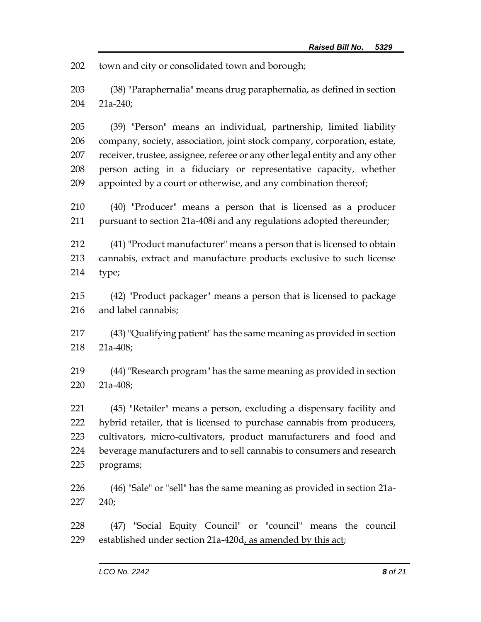town and city or consolidated town and borough;

- (38) "Paraphernalia" means drug paraphernalia, as defined in section 21a-240;
- (39) "Person" means an individual, partnership, limited liability company, society, association, joint stock company, corporation, estate, receiver, trustee, assignee, referee or any other legal entity and any other person acting in a fiduciary or representative capacity, whether appointed by a court or otherwise, and any combination thereof;
- (40) "Producer" means a person that is licensed as a producer pursuant to section 21a-408i and any regulations adopted thereunder;
- (41) "Product manufacturer" means a person that is licensed to obtain cannabis, extract and manufacture products exclusive to such license type;
- (42) "Product packager" means a person that is licensed to package and label cannabis;
- (43) "Qualifying patient" has the same meaning as provided in section 21a-408;
- (44) "Research program" has the same meaning as provided in section 21a-408;
- (45) "Retailer" means a person, excluding a dispensary facility and hybrid retailer, that is licensed to purchase cannabis from producers, cultivators, micro-cultivators, product manufacturers and food and beverage manufacturers and to sell cannabis to consumers and research programs;
- (46) "Sale" or "sell" has the same meaning as provided in section 21a-240;
- (47) "Social Equity Council" or "council" means the council established under section 21a-420d, as amended by this act;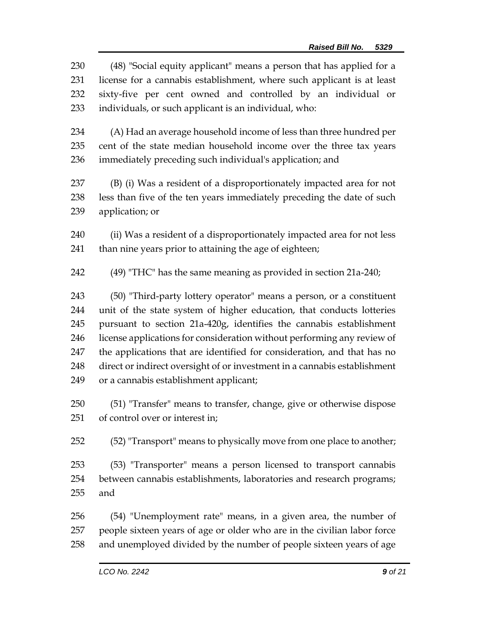(48) "Social equity applicant" means a person that has applied for a license for a cannabis establishment, where such applicant is at least sixty-five per cent owned and controlled by an individual or individuals, or such applicant is an individual, who: (A) Had an average household income of less than three hundred per cent of the state median household income over the three tax years immediately preceding such individual's application; and (B) (i) Was a resident of a disproportionately impacted area for not less than five of the ten years immediately preceding the date of such application; or (ii) Was a resident of a disproportionately impacted area for not less than nine years prior to attaining the age of eighteen; (49) "THC" has the same meaning as provided in section 21a-240; (50) "Third-party lottery operator" means a person, or a constituent unit of the state system of higher education, that conducts lotteries pursuant to section 21a-420g, identifies the cannabis establishment license applications for consideration without performing any review of

- the applications that are identified for consideration, and that has no direct or indirect oversight of or investment in a cannabis establishment or a cannabis establishment applicant;
- (51) "Transfer" means to transfer, change, give or otherwise dispose of control over or interest in;

(52) "Transport" means to physically move from one place to another;

 (53) "Transporter" means a person licensed to transport cannabis between cannabis establishments, laboratories and research programs; and

 (54) "Unemployment rate" means, in a given area, the number of people sixteen years of age or older who are in the civilian labor force and unemployed divided by the number of people sixteen years of age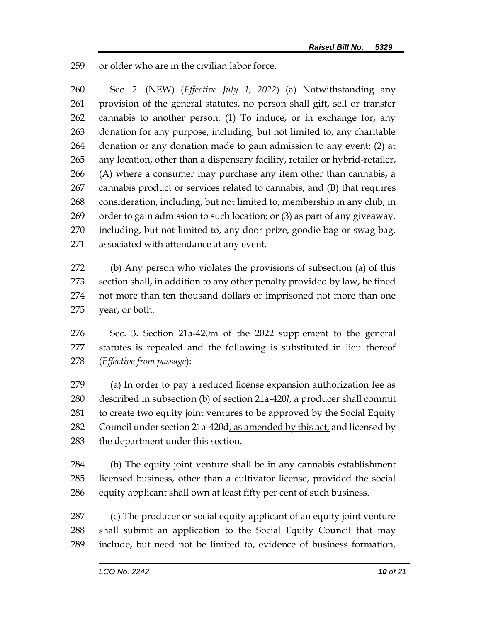or older who are in the civilian labor force.

 Sec. 2. (NEW) (*Effective July 1, 2022*) (a) Notwithstanding any provision of the general statutes, no person shall gift, sell or transfer cannabis to another person: (1) To induce, or in exchange for, any donation for any purpose, including, but not limited to, any charitable donation or any donation made to gain admission to any event; (2) at any location, other than a dispensary facility, retailer or hybrid-retailer, (A) where a consumer may purchase any item other than cannabis, a cannabis product or services related to cannabis, and (B) that requires consideration, including, but not limited to, membership in any club, in order to gain admission to such location; or (3) as part of any giveaway, including, but not limited to, any door prize, goodie bag or swag bag, associated with attendance at any event.

 (b) Any person who violates the provisions of subsection (a) of this section shall, in addition to any other penalty provided by law, be fined not more than ten thousand dollars or imprisoned not more than one year, or both.

 Sec. 3. Section 21a-420m of the 2022 supplement to the general statutes is repealed and the following is substituted in lieu thereof (*Effective from passage*):

 (a) In order to pay a reduced license expansion authorization fee as described in subsection (b) of section 21a-420*l*, a producer shall commit to create two equity joint ventures to be approved by the Social Equity 282 Council under section 21a-420d, as amended by this act, and licensed by the department under this section.

 (b) The equity joint venture shall be in any cannabis establishment licensed business, other than a cultivator license, provided the social equity applicant shall own at least fifty per cent of such business.

 (c) The producer or social equity applicant of an equity joint venture shall submit an application to the Social Equity Council that may include, but need not be limited to, evidence of business formation,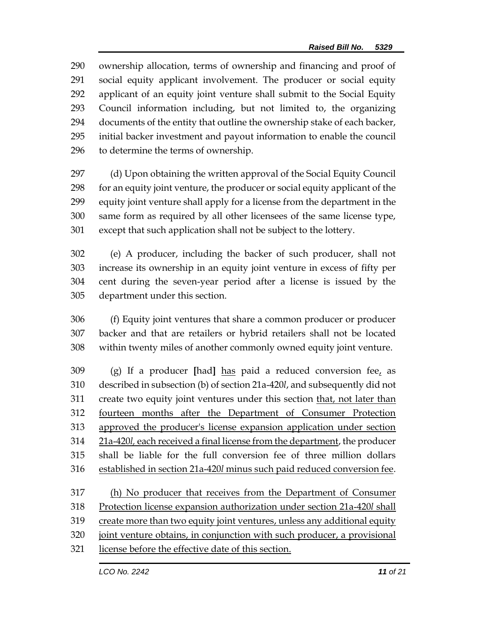ownership allocation, terms of ownership and financing and proof of social equity applicant involvement. The producer or social equity applicant of an equity joint venture shall submit to the Social Equity Council information including, but not limited to, the organizing documents of the entity that outline the ownership stake of each backer, initial backer investment and payout information to enable the council to determine the terms of ownership.

 (d) Upon obtaining the written approval of the Social Equity Council for an equity joint venture, the producer or social equity applicant of the equity joint venture shall apply for a license from the department in the same form as required by all other licensees of the same license type, except that such application shall not be subject to the lottery.

 (e) A producer, including the backer of such producer, shall not increase its ownership in an equity joint venture in excess of fifty per cent during the seven-year period after a license is issued by the department under this section.

 (f) Equity joint ventures that share a common producer or producer backer and that are retailers or hybrid retailers shall not be located within twenty miles of another commonly owned equity joint venture.

 (g) If a producer **[**had**]** has paid a reduced conversion fee, as described in subsection (b) of section 21a-420*l*, and subsequently did not 311 create two equity joint ventures under this section that, not later than fourteen months after the Department of Consumer Protection approved the producer's license expansion application under section 21a-420*l,* each received a final license from the department, the producer shall be liable for the full conversion fee of three million dollars established in section 21a-420*l* minus such paid reduced conversion fee.

 (h) No producer that receives from the Department of Consumer Protection license expansion authorization under section 21a-420*l* shall create more than two equity joint ventures, unless any additional equity joint venture obtains, in conjunction with such producer, a provisional license before the effective date of this section.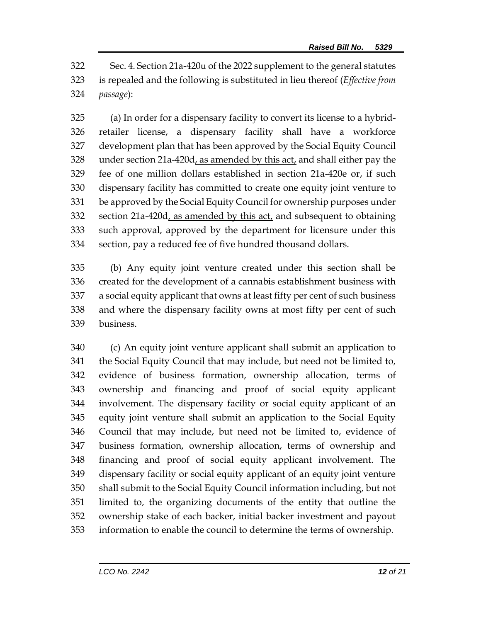Sec. 4. Section 21a-420u of the 2022 supplement to the general statutes is repealed and the following is substituted in lieu thereof (*Effective from passage*):

 (a) In order for a dispensary facility to convert its license to a hybrid- retailer license, a dispensary facility shall have a workforce development plan that has been approved by the Social Equity Council 328 under section  $21a-420d$ , as amended by this act, and shall either pay the fee of one million dollars established in section 21a-420e or, if such dispensary facility has committed to create one equity joint venture to be approved by the Social Equity Council for ownership purposes under section 21a-420d, as amended by this act, and subsequent to obtaining such approval, approved by the department for licensure under this section, pay a reduced fee of five hundred thousand dollars.

 (b) Any equity joint venture created under this section shall be created for the development of a cannabis establishment business with a social equity applicant that owns at least fifty per cent of such business and where the dispensary facility owns at most fifty per cent of such business.

 (c) An equity joint venture applicant shall submit an application to the Social Equity Council that may include, but need not be limited to, evidence of business formation, ownership allocation, terms of ownership and financing and proof of social equity applicant involvement. The dispensary facility or social equity applicant of an equity joint venture shall submit an application to the Social Equity Council that may include, but need not be limited to, evidence of business formation, ownership allocation, terms of ownership and financing and proof of social equity applicant involvement. The dispensary facility or social equity applicant of an equity joint venture shall submit to the Social Equity Council information including, but not limited to, the organizing documents of the entity that outline the ownership stake of each backer, initial backer investment and payout information to enable the council to determine the terms of ownership.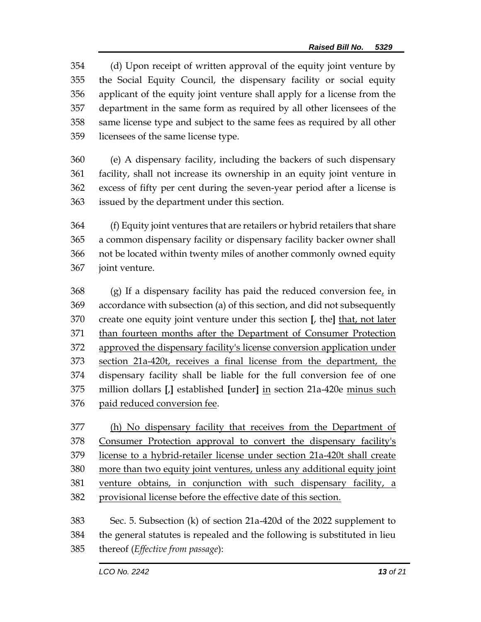(d) Upon receipt of written approval of the equity joint venture by the Social Equity Council, the dispensary facility or social equity applicant of the equity joint venture shall apply for a license from the department in the same form as required by all other licensees of the same license type and subject to the same fees as required by all other licensees of the same license type.

 (e) A dispensary facility, including the backers of such dispensary facility, shall not increase its ownership in an equity joint venture in excess of fifty per cent during the seven-year period after a license is issued by the department under this section.

 (f) Equity joint ventures that are retailers or hybrid retailers that share a common dispensary facility or dispensary facility backer owner shall not be located within twenty miles of another commonly owned equity joint venture.

368 (g) If a dispensary facility has paid the reduced conversion fee, in accordance with subsection (a) of this section, and did not subsequently create one equity joint venture under this section **[**, the**]** that, not later than fourteen months after the Department of Consumer Protection approved the dispensary facility's license conversion application under section 21a-420t, receives a final license from the department, the dispensary facility shall be liable for the full conversion fee of one million dollars **[**,**]** established **[**under**]** in section 21a-420e minus such paid reduced conversion fee.

 (h) No dispensary facility that receives from the Department of Consumer Protection approval to convert the dispensary facility's license to a hybrid-retailer license under section 21a-420t shall create more than two equity joint ventures, unless any additional equity joint venture obtains, in conjunction with such dispensary facility, a provisional license before the effective date of this section. Sec. 5. Subsection (k) of section 21a-420d of the 2022 supplement to

 the general statutes is repealed and the following is substituted in lieu thereof (*Effective from passage*):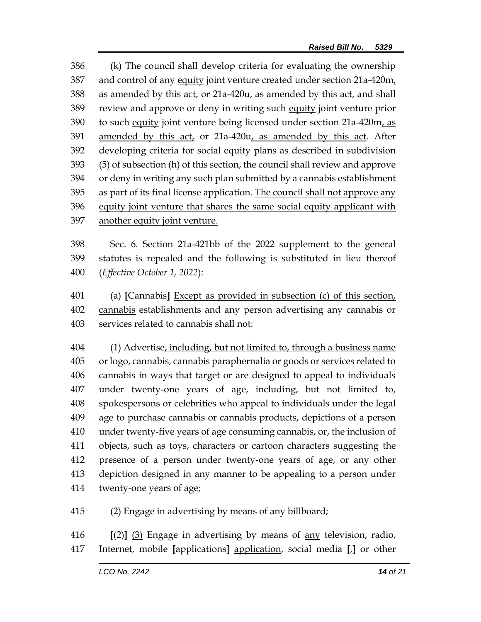(k) The council shall develop criteria for evaluating the ownership and control of any equity joint venture created under section 21a-420m, as amended by this act, or 21a-420u, as amended by this act, and shall review and approve or deny in writing such equity joint venture prior to such equity joint venture being licensed under section 21a-420m, as amended by this act, or 21a-420u, as amended by this act. After developing criteria for social equity plans as described in subdivision (5) of subsection (h) of this section, the council shall review and approve or deny in writing any such plan submitted by a cannabis establishment 395 as part of its final license application. The council shall not approve any 396 equity joint venture that shares the same social equity applicant with another equity joint venture.

 Sec. 6. Section 21a-421bb of the 2022 supplement to the general statutes is repealed and the following is substituted in lieu thereof (*Effective October 1, 2022*):

 (a) **[**Cannabis**]** Except as provided in subsection (c) of this section, cannabis establishments and any person advertising any cannabis or services related to cannabis shall not:

 (1) Advertise, including, but not limited to, through a business name or logo, cannabis, cannabis paraphernalia or goods or services related to cannabis in ways that target or are designed to appeal to individuals under twenty-one years of age, including, but not limited to, spokespersons or celebrities who appeal to individuals under the legal age to purchase cannabis or cannabis products, depictions of a person under twenty-five years of age consuming cannabis, or, the inclusion of objects, such as toys, characters or cartoon characters suggesting the presence of a person under twenty-one years of age, or any other depiction designed in any manner to be appealing to a person under twenty-one years of age;

## (2) Engage in advertising by means of any billboard;

 **[**(2)**]** (3) Engage in advertising by means of any television, radio, Internet, mobile **[**applications**]** application, social media **[**,**]** or other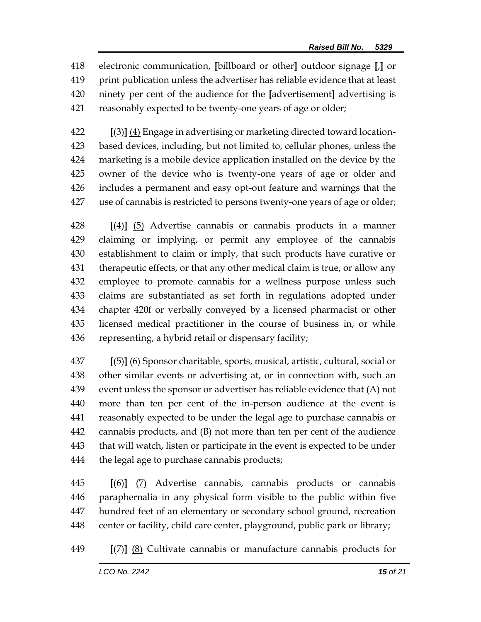electronic communication, **[**billboard or other**]** outdoor signage **[**,**]** or print publication unless the advertiser has reliable evidence that at least ninety per cent of the audience for the **[**advertisement**]** advertising is reasonably expected to be twenty-one years of age or older;

 **[**(3)**]** (4) Engage in advertising or marketing directed toward location- based devices, including, but not limited to, cellular phones, unless the marketing is a mobile device application installed on the device by the owner of the device who is twenty-one years of age or older and includes a permanent and easy opt-out feature and warnings that the use of cannabis is restricted to persons twenty-one years of age or older;

 **[**(4)**]** (5) Advertise cannabis or cannabis products in a manner claiming or implying, or permit any employee of the cannabis establishment to claim or imply, that such products have curative or therapeutic effects, or that any other medical claim is true, or allow any employee to promote cannabis for a wellness purpose unless such claims are substantiated as set forth in regulations adopted under chapter 420f or verbally conveyed by a licensed pharmacist or other licensed medical practitioner in the course of business in, or while representing, a hybrid retail or dispensary facility;

 **[**(5)**]** (6) Sponsor charitable, sports, musical, artistic, cultural, social or other similar events or advertising at, or in connection with, such an event unless the sponsor or advertiser has reliable evidence that (A) not more than ten per cent of the in-person audience at the event is reasonably expected to be under the legal age to purchase cannabis or cannabis products, and (B) not more than ten per cent of the audience that will watch, listen or participate in the event is expected to be under 444 the legal age to purchase cannabis products;

 **[**(6)**]** (7) Advertise cannabis, cannabis products or cannabis paraphernalia in any physical form visible to the public within five hundred feet of an elementary or secondary school ground, recreation center or facility, child care center, playground, public park or library;

**[**(7)**]** (8) Cultivate cannabis or manufacture cannabis products for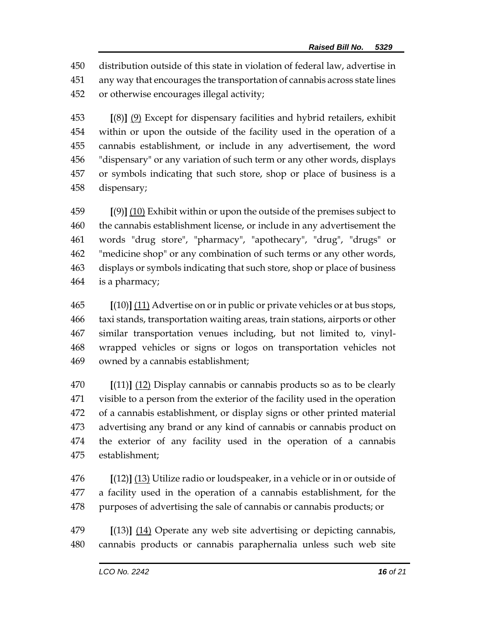distribution outside of this state in violation of federal law, advertise in any way that encourages the transportation of cannabis across state lines or otherwise encourages illegal activity;

 **[**(8)**]** (9) Except for dispensary facilities and hybrid retailers, exhibit within or upon the outside of the facility used in the operation of a cannabis establishment, or include in any advertisement, the word "dispensary" or any variation of such term or any other words, displays or symbols indicating that such store, shop or place of business is a dispensary;

 **[**(9)**]** (10) Exhibit within or upon the outside of the premises subject to the cannabis establishment license, or include in any advertisement the words "drug store", "pharmacy", "apothecary", "drug", "drugs" or "medicine shop" or any combination of such terms or any other words, displays or symbols indicating that such store, shop or place of business is a pharmacy;

 **[**(10)**]** (11) Advertise on or in public or private vehicles or at bus stops, taxi stands, transportation waiting areas, train stations, airports or other similar transportation venues including, but not limited to, vinyl- wrapped vehicles or signs or logos on transportation vehicles not owned by a cannabis establishment;

 **[**(11)**]** (12) Display cannabis or cannabis products so as to be clearly visible to a person from the exterior of the facility used in the operation of a cannabis establishment, or display signs or other printed material advertising any brand or any kind of cannabis or cannabis product on the exterior of any facility used in the operation of a cannabis establishment;

 **[**(12)**]** (13) Utilize radio or loudspeaker, in a vehicle or in or outside of a facility used in the operation of a cannabis establishment, for the purposes of advertising the sale of cannabis or cannabis products; or

 **[**(13)**]** (14) Operate any web site advertising or depicting cannabis, cannabis products or cannabis paraphernalia unless such web site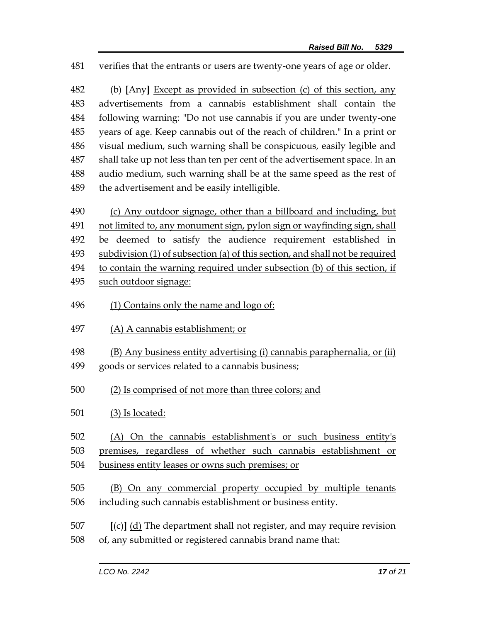verifies that the entrants or users are twenty-one years of age or older.

 (b) **[**Any**]** Except as provided in subsection (c) of this section, any advertisements from a cannabis establishment shall contain the following warning: "Do not use cannabis if you are under twenty-one years of age. Keep cannabis out of the reach of children." In a print or visual medium, such warning shall be conspicuous, easily legible and shall take up not less than ten per cent of the advertisement space. In an audio medium, such warning shall be at the same speed as the rest of 489 the advertisement and be easily intelligible.

 (c) Any outdoor signage, other than a billboard and including, but not limited to, any monument sign, pylon sign or wayfinding sign, shall be deemed to satisfy the audience requirement established in subdivision (1) of subsection (a) of this section, and shall not be required to contain the warning required under subsection (b) of this section, if

- 495 such outdoor signage:
- (1) Contains only the name and logo of:
- (A) A cannabis establishment; or
- (B) Any business entity advertising (i) cannabis paraphernalia, or (ii) goods or services related to a cannabis business;
- (2) Is comprised of not more than three colors; and
- (3) Is located:
- (A) On the cannabis establishment's or such business entity's

premises, regardless of whether such cannabis establishment or

business entity leases or owns such premises; or

 (B) On any commercial property occupied by multiple tenants including such cannabis establishment or business entity.

- **[**(c)**]** (d) The department shall not register, and may require revision
- of, any submitted or registered cannabis brand name that: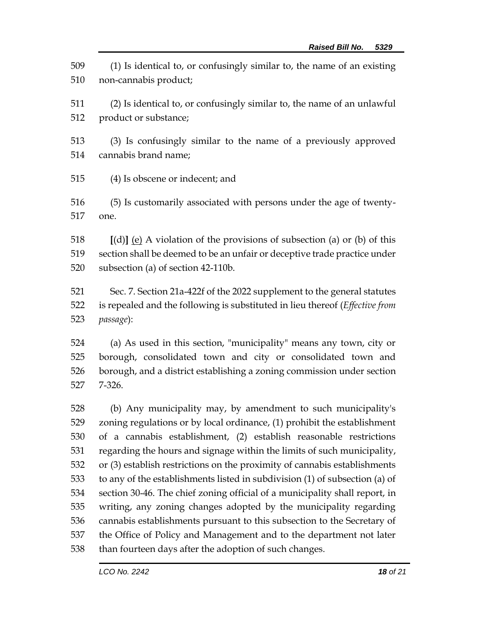(1) Is identical to, or confusingly similar to, the name of an existing non-cannabis product;

 (2) Is identical to, or confusingly similar to, the name of an unlawful product or substance;

- (3) Is confusingly similar to the name of a previously approved cannabis brand name;
- (4) Is obscene or indecent; and

 (5) Is customarily associated with persons under the age of twenty-one.

 **[**(d)**]** (e) A violation of the provisions of subsection (a) or (b) of this section shall be deemed to be an unfair or deceptive trade practice under subsection (a) of section 42-110b.

 Sec. 7. Section 21a-422f of the 2022 supplement to the general statutes is repealed and the following is substituted in lieu thereof (*Effective from passage*):

 (a) As used in this section, "municipality" means any town, city or borough, consolidated town and city or consolidated town and borough, and a district establishing a zoning commission under section 7-326.

 (b) Any municipality may, by amendment to such municipality's zoning regulations or by local ordinance, (1) prohibit the establishment of a cannabis establishment, (2) establish reasonable restrictions regarding the hours and signage within the limits of such municipality, or (3) establish restrictions on the proximity of cannabis establishments to any of the establishments listed in subdivision (1) of subsection (a) of section 30-46. The chief zoning official of a municipality shall report, in writing, any zoning changes adopted by the municipality regarding cannabis establishments pursuant to this subsection to the Secretary of the Office of Policy and Management and to the department not later than fourteen days after the adoption of such changes.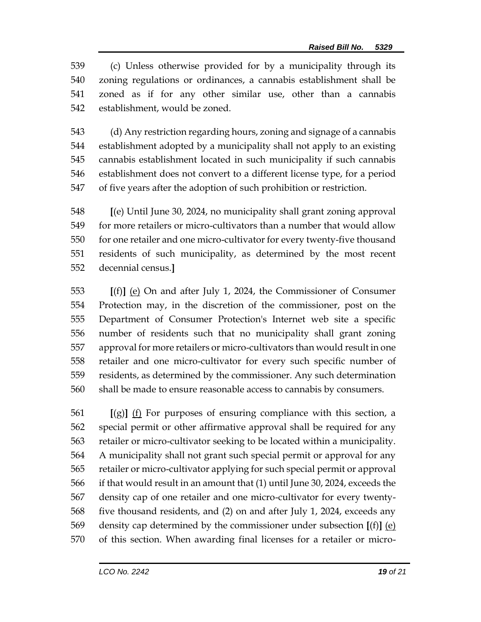(c) Unless otherwise provided for by a municipality through its zoning regulations or ordinances, a cannabis establishment shall be zoned as if for any other similar use, other than a cannabis establishment, would be zoned.

 (d) Any restriction regarding hours, zoning and signage of a cannabis establishment adopted by a municipality shall not apply to an existing cannabis establishment located in such municipality if such cannabis establishment does not convert to a different license type, for a period of five years after the adoption of such prohibition or restriction.

 **[**(e) Until June 30, 2024, no municipality shall grant zoning approval for more retailers or micro-cultivators than a number that would allow for one retailer and one micro-cultivator for every twenty-five thousand residents of such municipality, as determined by the most recent decennial census.**]**

 **[**(f)**]** (e) On and after July 1, 2024, the Commissioner of Consumer Protection may, in the discretion of the commissioner, post on the Department of Consumer Protection's Internet web site a specific number of residents such that no municipality shall grant zoning approval for more retailers or micro-cultivators than would result in one retailer and one micro-cultivator for every such specific number of residents, as determined by the commissioner. Any such determination shall be made to ensure reasonable access to cannabis by consumers.

 **[**(g)**]** (f) For purposes of ensuring compliance with this section, a special permit or other affirmative approval shall be required for any retailer or micro-cultivator seeking to be located within a municipality. A municipality shall not grant such special permit or approval for any retailer or micro-cultivator applying for such special permit or approval if that would result in an amount that (1) until June 30, 2024, exceeds the density cap of one retailer and one micro-cultivator for every twenty- five thousand residents, and (2) on and after July 1, 2024, exceeds any density cap determined by the commissioner under subsection **[**(f)**]** (e) of this section. When awarding final licenses for a retailer or micro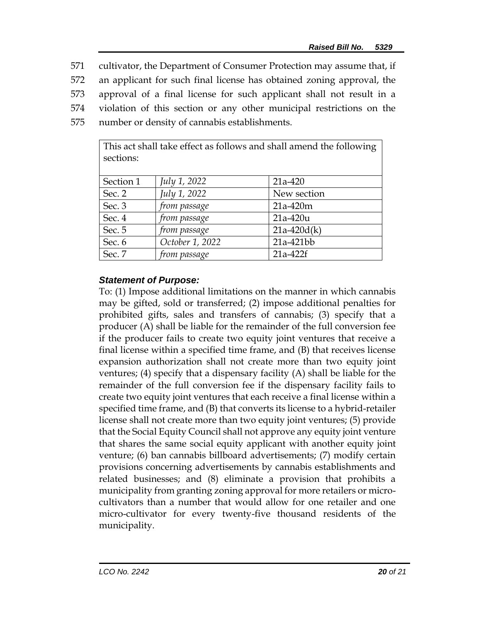cultivator, the Department of Consumer Protection may assume that, if an applicant for such final license has obtained zoning approval, the approval of a final license for such applicant shall not result in a violation of this section or any other municipal restrictions on the number or density of cannabis establishments.

| sections: |                 | This act shall take effect as follows and shall amend the following |
|-----------|-----------------|---------------------------------------------------------------------|
| Section 1 | July 1, 2022    | $21a-420$                                                           |
| Sec. 2    | July 1, 2022    | New section                                                         |
| Sec. 3    | from passage    | $21a-420m$                                                          |
| Sec. 4    | from passage    | $21a-420u$                                                          |
| Sec. 5    | from passage    | $21a-420d(k)$                                                       |
| Sec. 6    | October 1, 2022 | 21a-421bb                                                           |
| Sec. 7    | from passage    | 21a-422f                                                            |

## *Statement of Purpose:*

To: (1) Impose additional limitations on the manner in which cannabis may be gifted, sold or transferred; (2) impose additional penalties for prohibited gifts, sales and transfers of cannabis; (3) specify that a producer (A) shall be liable for the remainder of the full conversion fee if the producer fails to create two equity joint ventures that receive a final license within a specified time frame, and (B) that receives license expansion authorization shall not create more than two equity joint ventures; (4) specify that a dispensary facility (A) shall be liable for the remainder of the full conversion fee if the dispensary facility fails to create two equity joint ventures that each receive a final license within a specified time frame, and (B) that converts its license to a hybrid-retailer license shall not create more than two equity joint ventures; (5) provide that the Social Equity Council shall not approve any equity joint venture that shares the same social equity applicant with another equity joint venture; (6) ban cannabis billboard advertisements; (7) modify certain provisions concerning advertisements by cannabis establishments and related businesses; and (8) eliminate a provision that prohibits a municipality from granting zoning approval for more retailers or microcultivators than a number that would allow for one retailer and one micro-cultivator for every twenty-five thousand residents of the municipality.